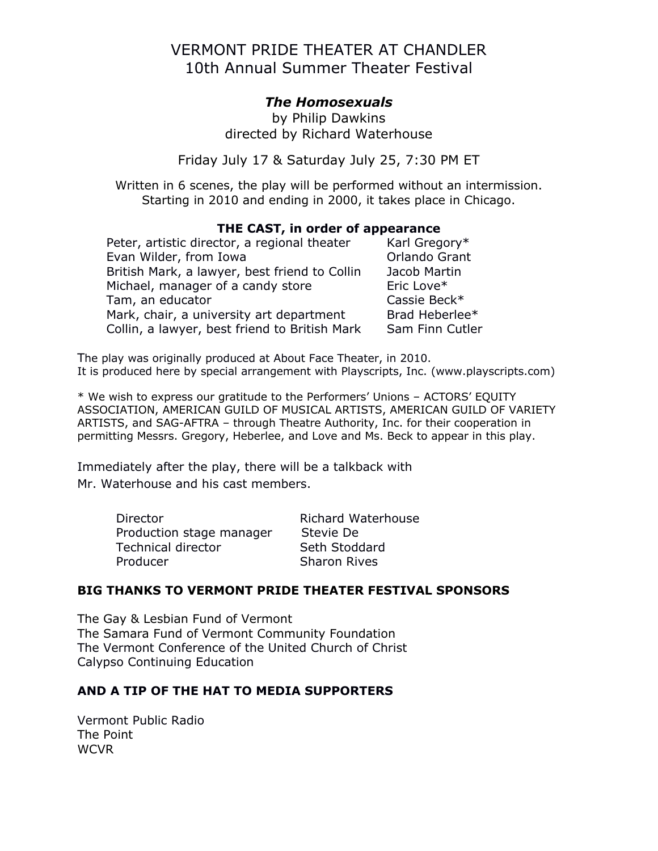# VERMONT PRIDE THEATER AT CHANDLER 10th Annual Summer Theater Festival

## *The Homosexuals*

by Philip Dawkins directed by Richard Waterhouse

Friday July 17 & Saturday July 25, 7:30 PM ET

Written in 6 scenes, the play will be performed without an intermission. Starting in 2010 and ending in 2000, it takes place in Chicago.

#### **THE CAST, in order of appearance**

Peter, artistic director, a regional theater  $K$ arl Gregory\* Evan Wilder, from Iowa **Canadia Contract Contract Contract Contract Contract Contract Contract Contract Contract Contract Contract Contract Contract Contract Contract Contract Contract Contract Contract Contract Contract C** British Mark, a lawyer, best friend to Collin Jacob Martin Michael, manager of a candy store Eric Love\* Tam, an educator Cassie Beck\* Mark, chair, a university art department Brad Heberlee $*$ Collin, a lawyer, best friend to British Mark Sam Finn Cutler

The play was originally produced at About Face Theater, in 2010. It is produced here by special arrangement with Playscripts, Inc. (www.playscripts.com)

\* We wish to express our gratitude to the Performers' Unions – ACTORS' EQUITY ASSOCIATION, AMERICAN GUILD OF MUSICAL ARTISTS, AMERICAN GUILD OF VARIETY ARTISTS, and SAG-AFTRA – through Theatre Authority, Inc. for their cooperation in permitting Messrs. Gregory, Heberlee, and Love and Ms. Beck to appear in this play.

Immediately after the play, there will be a talkback with Mr. Waterhouse and his cast members.

| Director                  | <b>Richard Waterhouse</b> |
|---------------------------|---------------------------|
| Production stage manager  | Stevie De                 |
| <b>Technical director</b> | Seth Stoddard             |
| Producer                  | <b>Sharon Rives</b>       |

#### **BIG THANKS TO VERMONT PRIDE THEATER FESTIVAL SPONSORS**

The Gay & Lesbian Fund of Vermont The Samara Fund of Vermont Community Foundation The Vermont Conference of the United Church of Christ Calypso Continuing Education

#### **AND A TIP OF THE HAT TO MEDIA SUPPORTERS**

Vermont Public Radio The Point WCVR